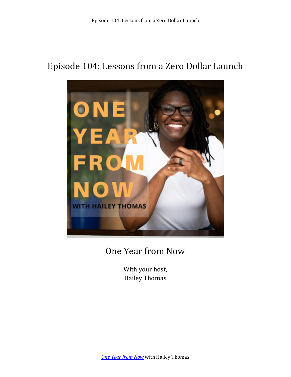# Episode 104: Lessons from a Zero Dollar Launch



# One Year from Now

With your host, **Hailey Thomas**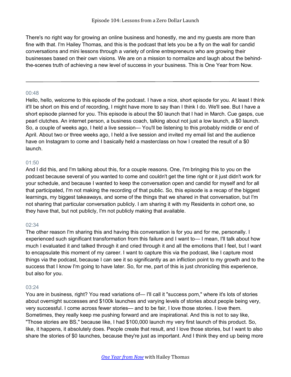There's no right way for growing an online business and honestly, me and my guests are more than fine with that. I'm Hailey Thomas, and this is the podcast that lets you be a fly on the wall for candid conversations and mini lessons through a variety of online entrepreneurs who are growing their businesses based on their own visions. We are on a mission to normalize and laugh about the behindthe-scenes truth of achieving a new level of success in your business. This is One Year from Now.

## 00:48

Hello, hello, welcome to this episode of the podcast. I have a nice, short episode for you. At least I think it'll be short on this end of recording, I might have more to say than I think I do. We'll see. But I have a short episode planned for you. This episode is about the \$0 launch that I had in March. Cue gasps, cue pearl clutches. An internet person, a business coach, talking about not just a low launch, a \$0 launch. So, a couple of weeks ago, I held a live session— You'll be listening to this probably middle or end of April. About two or three weeks ago, I held a live session and invited my email list and the audience have on Instagram to come and I basically held a masterclass on how I created the result of a \$0 launch.

# 01:50

And I did this, and I'm talking about this, for a couple reasons. One, I'm bringing this to you on the podcast because several of you wanted to come and couldn't get the time right or it just didn't work for your schedule, and because I wanted to keep the conversation open and candid for myself and for all that participated, I'm not making the recording of that public. So, this episode is a recap of the biggest learnings, my biggest takeaways, and some of the things that we shared in that conversation, but I'm not sharing that particular conversation publicly. I am sharing it with my Residents in cohort one, so they have that, but not publicly, I'm not publicly making that available.

# 02:34

The other reason I'm sharing this and having this conversation is for you and for me, personally. I experienced such significant transformation from this failure and I want to— I mean, I'll talk about how much I evaluated it and talked through it and cried through it and all the emotions that I feel, but I want to encapsulate this moment of my career. I want to capture this via the podcast, like I capture most things via the podcast, because I can see it so significantly as an infliction point to my growth and to the success that I know I'm going to have later. So, for me, part of this is just chronicling this experience, but also for you.

## 03:24

You are in business, right? You read variations of— I'll call it "success porn," where it's lots of stories about overnight successes and \$100k launches and varying levels of stories about people being very, very successful. I come across fewer stories— and to be fair, I love those stories. I love them. Sometimes, they really keep me pushing forward and are inspirational. And this is not to say like, "Those stories are BS," because like, I had \$100,000 launch my very first launch of this product. So, like, it happens, it absolutely does. People create that result, and I love those stories, but I want to also share the stories of \$0 launches, because they're just as important. And I think they end up being more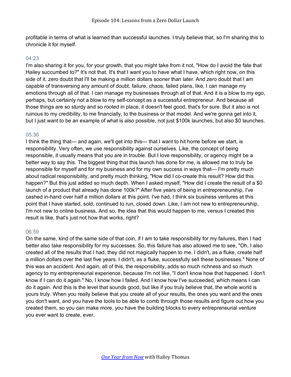profitable in terms of what is learned than successful launches. I truly believe that, so I'm sharing this to chronicle it for myself.

#### 04:23

I'm also sharing it for you, for your growth, that you might take from it not, "How do I avoid the fate that Hailey succumbed to?" It's not that. It's that I want you to have what I have, which right now, on this side of it. zero doubt that I'll be making a million dollars sooner than later. And zero doubt that I am capable of transversing any amount of doubt, failure, chaos, failed plans, like, I can manage my emotions through all of that. I can manage my businesses through all of that. And it is a blow to my ego, perhaps, but certainly not a blow to my self-concept as a successful entrepreneur. And because all those things are so sturdy and so rooted in place, it doesn't feel good, that's for sure. But it also is not ruinous to my credibility, to me financially, to the business or that model. And we're gonna get into it, but I just want to be an example of what is also possible, not just \$100k launches, but also \$0 launches.

#### 05:36

I think the thing that— and again, we'll get into this— that I want to hit home before we start, is responsibility. Very often, we use responsibility against ourselves. Like, the concept of being responsible, it usually means that you are in trouble. But I love responsibility, or agency might be a better way to say this. The biggest thing that this launch has done for me, is allowed me to truly be responsible for myself and for my business and for my own success in ways that— I'm pretty much about radical responsibility, and pretty much thinking, "How did I co-create this result? How did this happen?" But this just added so much depth. When I asked myself, "How did I create the result of a \$0 launch of a product that already has done 100k?" After five years of being in entrepreneurship, I've cashed in-hand over half a million dollars at this point. I've had, I think six business ventures at this point that I have started, sold, continued to run, closed down. Like, I am not new to entrepreneurship, I'm not new to online business. And so, the idea that this would happen to me, versus I created this result is like, that's just not how that works, right?

## 06:59

On the same, kind of the same side of that coin, if I am to take responsibility for my failures, then I had better also take responsibility for my successes. So, this failure has also allowed me to see, "Oh, I also created all of the results that I had, they did not magically happen to me. I didn't, as a fluke, create half a million dollars over the last five years. I didn't, as a fluke, successfully sell these businesses." None of this was an accident. And again, all of this, the responsibility, adds so much richness and so much agency to my entrepreneurial experience, because I'm not like, "I don't know how that happened. I don't know if I can do it again." No, I know how I failed. And I know how I've succeeded, which means I can do it again. And this is the level that sounds good, but like if you truly believe that, the whole world is yours truly. When you really believe that you create all of your results, the ones you want and the ones you don't want, and you have the tools to be able to comb through those results and figure out how you created them, so you can make more, you have the building blocks to every entrepreneurial venture you ever want to create, ever.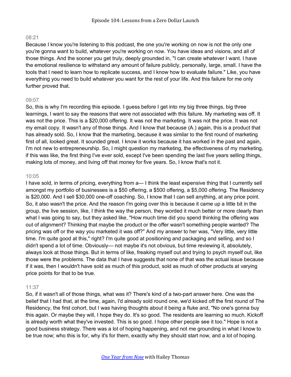## 08:21

Because I know you're listening to this podcast, the one you're working on now is not the only one you're gonna want to build, whatever you're working on now. You have ideas and visions, and all of those things. And the sooner you get truly, deeply grounded in, "I can create whatever I want. I have the emotional resilience to withstand any amount of failure publicly, personally, large, small. I have the tools that I need to learn how to replicate success, and I know how to evaluate failure." Like, you have everything you need to build whatever you want for the rest of your life. And this failure for me only further proved that.

## 09:07

So, this is why I'm recording this episode. I guess before I get into my big three things, big three learnings, I want to say the reasons that were not associated with this failure. My marketing was off. It was not the price. This is a \$20,000 offering. It was not the marketing. It was not the price. It was not my email copy. It wasn't any of those things. And I know that because (A.) again, this is a product that has already sold. So, I know that the marketing, because it was similar to the first round of marketing first of all, looked great. It sounded great. I know it works because it has worked in the past and again, I'm not new to entrepreneurship. So, I might question my marketing, the effectiveness of my marketing, if this was like, the first thing I've ever sold, except I've been spending the last five years selling things, making lots of money, and living off that money for five years. So, I know that's not it.

#### 10:05

I have sold, in terms of pricing, everything from a— I think the least expensive thing that I currently sell amongst my portfolio of businesses is a \$50 offering, a \$500 offering, a \$5,000 offering. The Residency is \$20,000. And I sell \$30,000 one-off coaching. So, I know that I can sell anything, at any price point. So, it also wasn't the price. And the reason I'm going over this is because it came up a little bit in the group, the live session, like, I think the way the person, they worded it much better or more clearly than what I was going to say, but they asked like, "How much time did you spend thinking the offering was out of alignment? Thinking that maybe the product or the offer wasn't something people wanted? The pricing was off or the way you marketed it was off?" And my answer to her was, "Very little, very little time. I'm quite good at this," right? I'm quite good at positioning and packaging and selling, and so I didn't spend a lot of time. Obviously— not maybe it's not obvious, but time reviewing it, absolutely, always look at those things. But in terms of like, freaking myself out and trying to psych myself out, like those were the problems. The data that I have suggests that none of that was the actual issue because if it was, then I wouldn't have sold as much of this product, sold as much of other products at varying price points for that to be true.

## 11:37

So, if it wasn't all of those things, what was it? There's kind of a two-part answer here. One was the belief that I had that, at the time, again, I'd already sold round one, we'd kicked off the first round of The Residency, the first cohort, but I was having thoughts about it being a fluke and, "No one's gonna buy this again. Or maybe they will, I hope they do. It's so good. The residents are learning so much. Kickoff is already worth what they've invested. This is so good. I hope other people see it too." Hope is not a good business strategy. There was a lot of hoping happening, and not me grounding in what I know to be true now; who this is for, why it's for them, exactly why they should start now, and a lot of hoping.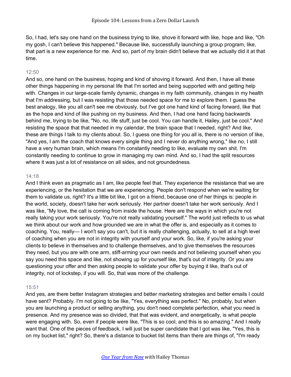So, I had, let's say one hand on the business trying to like, shove it forward with like, hope and like, "Oh my gosh, I can't believe this happened." Because like, successfully launching a group program, like, that part is a new experience for me. And so, part of my brain didn't believe that we actually did it at that time.

# $12:50$

And so, one hand on the business, hoping and kind of shoving it forward. And then, I have all these other things happening in my personal life that I'm sorted and being supported with and getting help with. Changes in our large-scale family dynamic, changes in my faith community, changes in my health that I'm addressing, but I was resisting that those needed space for me to explore them. I guess the best analogy, like you all can't see me obviously, but I've got one hand kind of facing forward, like that as the hope and kind of like pushing on my business. And then, I had one hand facing backwards behind me, trying to be like, "No, no, life stuff, just be cool. You can handle it, Hailey, just be cool." And resisting the space that that needed in my calendar, the brain space that I needed, right? And like, these are things I talk to my clients about. So, I guess one thing for you all is, there is no version of like, "And yes, I am the coach that knows every single thing and I never do anything wrong," like no, I still have a very human brain, which means I'm constantly needing to like, evaluate my own shit. I'm constantly needing to continue to grow in managing my own mind. And so, I had the split resources where it was just a lot of resistance on all sides, and not groundedness.

## 14:18

And I think even as pragmatic as I am, like people feel that. They experience the resistance that we are experiencing, or the hesitation that we are experiencing. People don't respond when we're waiting for them to validate us, right? It's a little bit like, I got on a friend, because one of her things is: people in the world, society, doesn't take her work seriously. Her partner doesn't take her work seriously. And I was like, "My love, the call is coming from inside the house. Here are the ways in which you're not really taking your work seriously. You're not really validating yourself." The world just reflects to us what we think about our work and how grounded we are in what the offer is, and especially as it comes to coaching. You, really— I won't say you can't, but it is really challenging, actually, to sell at a high level of coaching when you are not in integrity with yourself and your work. So, like, if you're asking your clients to believe in themselves and to challenge themselves, and to give themselves the resources they need, but you are with one arm, stiff-arming your own needs and not believing yourself when you say you need this space and like, not showing up for yourself like, that's out of integrity. Or you are questioning your offer and then asking people to validate your offer by buying it like, that's out of integrity, not of lockstep, if you will. So, that was more of the challenge.

## 15:51

And yes, are there better Instagram strategies and better marketing strategies and better emails I could have sent? Probably. I'm not going to be like, "Yes, everything was perfect." No, probably, but when you are launching a product or selling anything, you don't need complete perfection, what you need is presence. And my presence was so divided, that that was evident, and energetically, is what people were engaging with. So, even if people were like, "This is so cool, and this is so amazing." And I really want that. One of the pieces of feedback, I will just be super candidate that I got was like, "Yes, this is on my bucket list," right? So, there's a distance to bucket list items than there are things of, "I'm ready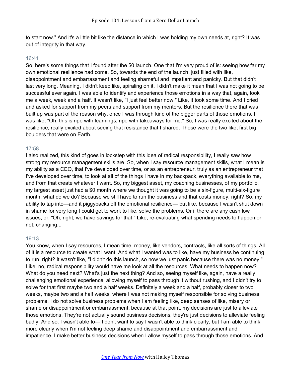to start now." And it's a little bit like the distance in which I was holding my own needs at, right? It was out of integrity in that way.

#### 16:41

So, here's some things that I found after the \$0 launch. One that I'm very proud of is: seeing how far my own emotional resilience had come. So, towards the end of the launch, just filled with like, disappointment and embarrassment and feeling shameful and impatient and panicky. But that didn't last very long. Meaning, I didn't keep like, spiraling on it, I didn't make it mean that I was not going to be successful ever again. I was able to identify and experience those emotions in a way that, again, took me a week, week and a half. It wasn't like, "I just feel better now." Like, it took some time. And I cried and asked for support from my peers and support from my mentors. But the resilience there that was built up was part of the reason why, once I was through kind of the bigger parts of those emotions, I was like, "Oh, this is ripe with learnings, ripe with takeaways for me." So, I was really excited about the resilience, really excited about seeing that resistance that I shared. Those were the two like, first big boulders that were on Earth.

## 17:58

I also realized, this kind of goes in lockstep with this idea of radical responsibility, I really saw how strong my resource management skills are. So, when I say resource management skills, what I mean is my ability as a CEO, that I've developed over time, or as an entrepreneur, truly as an entrepreneur that I've developed over time, to look at all of the things I have in my backpack, everything available to me, and from that create whatever I want. So, my biggest asset, my coaching businesses, of my portfolio, my largest asset just had a \$0 month where we thought it was going to be a six-figure, multi-six-figure month, what do we do? Because we still have to run the business and that costs money, right? So, my ability to tap into—and it piggybacks off the emotional resilience— but like, because I wasn't shut down in shame for very long I could get to work to like, solve the problems. Or if there are any cashflow issues, or, "Oh, right, we have savings for that." Like, re-evaluating what spending needs to happen or not, changing...

## 19:13

You know, when I say resources, I mean time, money, like vendors, contracts, like all sorts of things. All of it is a resource to create what I want. And what I wanted was to like, have my business be continuing to run, right? It wasn't like, "I didn't do this launch, so now we just panic because there was no money." Like, no, radical responsibility would have me look at all the resources. What needs to happen now? What do you need next? What's just the next thing? And so, seeing myself like, again, have a really challenging emotional experience, allowing myself to pass through it without rushing, and I didn't try to solve for that first maybe two and a half weeks. Definitely a week and a half, probably closer to two weeks, maybe two and a half weeks, where I was not making myself responsible for solving business problems. I do not solve business problems when I am feeling like, deep senses of like, misery or shame or disappointment or embarrassment, because at that point, my decisions are just to alleviate those emotions. They're not actually sound business decisions, they're just decisions to alleviate feeling badly. And so, I wasn't able to— I don't want to say I wasn't able to think clearly, but I am able to think more clearly when I'm not feeling deep shame and disappointment and embarrassment and impatience. I make better business decisions when I allow myself to pass through those emotions. And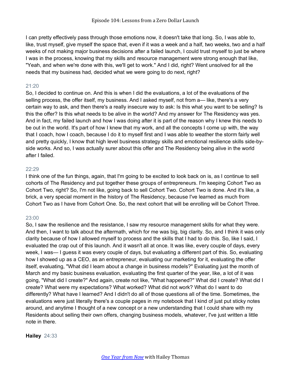I can pretty effectively pass through those emotions now, it doesn't take that long. So, I was able to, like, trust myself, give myself the space that, even if it was a week and a half, two weeks, two and a half weeks of not making major business decisions after a failed launch, I could trust myself to just be where I was in the process, knowing that my skills and resource management were strong enough that like, "Yeah, and when we're done with this, we'll get to work." And I did, right? Went unsolved for all the needs that my business had, decided what we were going to do next, right?

# 21:20

So, I decided to continue on. And this is when I did the evaluations, a lot of the evaluations of the selling process, the offer itself, my business. And I asked myself, not from a— like, there's a very certain way to ask, and then there's a really insecure way to ask: Is this what you want to be selling? Is this the offer? Is this what needs to be alive in the world? And my answer for The Residency was yes. And in fact, my failed launch and how I was doing after it is part of the reason why I knew this needs to be out in the world. It's part of how I knew that my work, and all the concepts I come up with, the way that I coach, how I coach, because I do it to myself first and I was able to weather the storm fairly well and pretty quickly, I know that high level business strategy skills and emotional resilience skills side-byside works. And so, I was actually surer about this offer and The Residency being alive in the world after I failed.

#### $22.29$

I think one of the fun things, again, that I'm going to be excited to look back on is, as I continue to sell cohorts of The Residency and put together these groups of entrepreneurs. I'm keeping Cohort Two as Cohort Two, right? So, I'm not like, going back to sell Cohort Two. Cohort Two is done. And it's like, a brick, a very special moment in the history of The Residency, because I've learned as much from Cohort Two as I have from Cohort One. So, the next cohort that will be enrolling will be Cohort Three.

## 23:00

So, I saw the resilience and the resistance, I saw my resource management skills for what they were. And then, I want to talk about the aftermath, which for me was big, big clarity. So, and I think it was only clarity because of how I allowed myself to process and the skills that I had to do this. So, like I said, I evaluated the crap out of this launch. And it wasn't all at once. It was like, every couple of days, every week, I was— I guess it was every couple of days, but evaluating a different part of this. So, evaluating how I showed up as a CEO, as an entrepreneur, evaluating our marketing for it, evaluating the offer itself, evaluating, "What did I learn about a change in business models?" Evaluating just the month of March and my basic business evaluation, evaluating the first quarter of the year, like, a lot of it was going, "What did I create?" And again, create not like, "What happened?" What did I create? What did I create? What were my expectations? What worked? What did not work? What do I want to do differently? What have I learned? And I didn't do all of those questions all of the time. Sometimes, the evaluations were just literally there's a couple pages in my notebook that I kind of just put sticky notes around, and anytime I thought of a new concept or a new understanding that I could share with my Residents about selling their own offers, changing business models, whatever, I've just written a little note in there.

## **Hailey** 24:33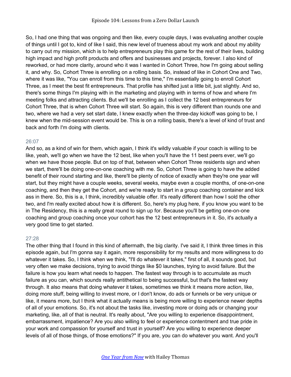So, I had one thing that was ongoing and then like, every couple days, I was evaluating another couple of things until I got to, kind of like I said, this new level of trueness about my work and about my ability to carry out my mission, which is to help entrepreneurs play this game for the rest of their lives, building high impact and high profit products and offers and businesses and projects, forever. I also kind of reworked, or had more clarity, around who it was I wanted in Cohort Three, how I'm going about selling it, and why. So, Cohort Three is enrolling on a rolling basis. So, instead of like in Cohort One and Two, where it was like, "You can enroll from this time to this time," I'm essentially going to enroll Cohort Three, as I meet the best fit entrepreneurs. That profile has shifted just a little bit, just slightly. And so, there's some things I'm playing with in the marketing and playing with in terms of how and where I'm meeting folks and attracting clients. But we'll be enrolling as I collect the 12 best entrepreneurs for Cohort Three, that is when Cohort Three will start. So again, this is very different than rounds one and two, where we had a very set start date, I knew exactly when the three-day kickoff was going to be, I knew when the mid-session event would be. This is on a rolling basis, there's a level of kind of trust and back and forth I'm doing with clients.

## 26:07

And so, as a kind of win for them, which again, I think it's wildly valuable if your coach is willing to be like, yeah, we'll go when we have the 12 best, like when you'll have the 11 best peers ever, we'll go when we have those people. But on top of that, between when Cohort Three residents sign and when we start, there'll be doing one-on-one coaching with me. So, Cohort Three is going to have the added benefit of their round starting and like, there'll be plenty of notice of exactly when they're one year will start, but they might have a couple weeks, several weeks, maybe even a couple months, of one-on-one coaching, and then they get the Cohort, and we're ready to start in a group coaching container and kick ass in there. So, this is a, I think, incredibly valuable offer. It's really different than how I sold the other two, and I'm really excited about how it is different. So, here's my plug here, if you know you want to be in The Residency, this is a really great round to sign up for. Because you'll be getting one-on-one coaching and group coaching once your cohort has the 12 best entrepreneurs in it. So, it's actually a very good time to get started.

## 27:28

The other thing that I found in this kind of aftermath, the big clarity. I've said it, I think three times in this episode again, but I'm gonna say it again, more responsibility for my results and more willingness to do whatever it takes. So, I think when we think, "I'll do whatever it takes," first of all, it sounds good, but very often we make decisions, trying to avoid things like \$0 launches, trying to avoid failure. But the failure is how you learn what needs to happen. The fastest way through is to accumulate as much failure as you can, which sounds really antithetical to being successful, but that's the fastest way through. It also means that doing whatever it takes, sometimes we think it means more action, like, doing more stuff, being willing to invest more, or I don't know, do ads or funnels or be very unique or like, it means more, but I think what it actually means is being more willing to experience newer depths of all of your emotions. So, it's not about the tasks like, investing more or doing ads or changing your marketing, like, all of that is neutral. It's really about, "Are you willing to experience disappointment, embarrassment, impatience? Are you also willing to feel or experience contentment and true pride in your work and compassion for yourself and trust in yourself? Are you willing to experience deeper levels of all of those things, of those emotions?" If you are, you can do whatever you want. And you'll